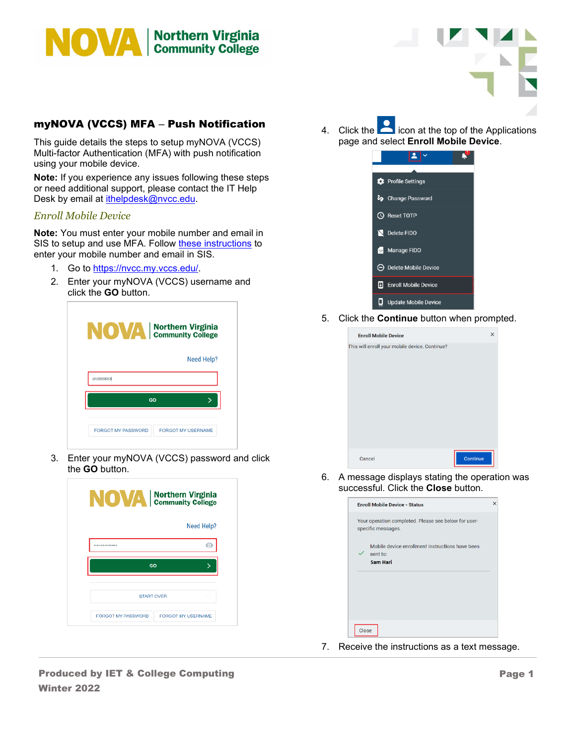

## myNOVA (VCCS) MFA – Push Notification

This guide details the steps to setup myNOVA (VCCS) Multi-factor Authentication (MFA) with push notification using your mobile device.

**Note:** If you experience any issues following these steps or need additional support, please contact the IT Help Desk by email at *ithelpdesk@nvcc.edu.* 

## *Enroll Mobile Device*

**Note:** You must enter your mobile number and email in SIS to setup and use MFA. Follow [these instructions](https://www.nvcc.edu/ithd/_docs/NVCC_Enter_a_Mobile_Number_and_Email_in_SIS_Students_QRG.pdf) to enter your mobile number and email in SIS.

- 1. Go to [https://nvcc.my.vccs.edu/.](https://nvcc.my.vccs.edu/)
- 2. Enter your myNOVA (VCCS) username and click the **GO** button.

| <b>NOVA</b> Northern Virginia                          |
|--------------------------------------------------------|
| Need Help?                                             |
| sh888888                                               |
| GO                                                     |
| <b>FORGOT MY PASSWORD</b><br><b>FORGOT MY USERNAME</b> |

3. Enter your myNOVA (VCCS) password and click the **GO** button.

| <b>NOVA</b> Northern Virginia |                    |
|-------------------------------|--------------------|
|                               | Need Help?         |
|                               | ۰                  |
| GO                            |                    |
| <b>START OVER</b>             |                    |
| FORGOT MY PASSWORD            | FORGOT MY USERNAME |

4. Click the  $\Box$  icon at the top of the Applications page and select **Enroll Mobile Device**.



5. Click the **Continue** button when prompted.

| <b>Enroll Mobile Device</b>                    | ×        |
|------------------------------------------------|----------|
| This will enroll your mobile device. Continue? |          |
|                                                |          |
|                                                |          |
|                                                |          |
|                                                |          |
|                                                |          |
|                                                |          |
|                                                |          |
|                                                |          |
|                                                |          |
| Cancel                                         | Continue |

6. A message displays stating the operation was successful. Click the **Close** button.

| Your operation completed. Please see below for user-<br>specific messages.<br>Mobile device enrollment instructions have been<br>sent to:<br><b>Sam Hari</b> | <b>Enroll Mobile Device - Status</b> |
|--------------------------------------------------------------------------------------------------------------------------------------------------------------|--------------------------------------|
|                                                                                                                                                              |                                      |
|                                                                                                                                                              |                                      |
|                                                                                                                                                              |                                      |

7. Receive the instructions as a text message.

Produced by IET & College Computing Winter 2022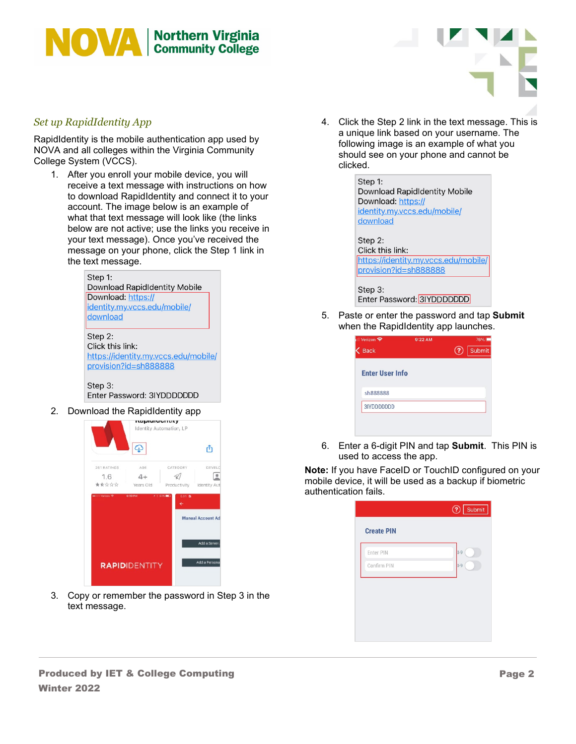



## *Set up RapidIdentity App*

RapidIdentity is the mobile authentication app used by NOVA and all colleges within the Virginia Community College System (VCCS).

1. After you enroll your mobile device, you will receive a text message with instructions on how to download RapidIdentity and connect it to your account. The image below is an example of what that text message will look like (the links below are not active; use the links you receive in your text message). Once you've received the message on your phone, click the Step 1 link in the text message.



Step 3: Enter Password: 3IYDDDDDDD

2. Download the RapidIdentity app



3. Copy or remember the password in Step 3 in the text message.

4. Click the Step 2 link in the text message. This is a unique link based on your username. The following image is an example of what you should see on your phone and cannot be clicked.

| Step 1:                              |
|--------------------------------------|
| Download RapidIdentity Mobile        |
| Download: https://                   |
| identity.my.vccs.edu/mobile/         |
| download                             |
|                                      |
| Step 2:                              |
| Click this link:                     |
| https://identity.my.vccs.edu/mobile/ |
| provision?id=sh888888                |
|                                      |

Step 3: Enter Password: 3IYDDDDDDD

5. Paste or enter the password and tap **Submit** when the RapidIdentity app launches.

| । Verizon <del>?</del><br><b>Back</b> | 9:22 AM | 76%<br>Submit<br>Q |
|---------------------------------------|---------|--------------------|
| <b>Enter User Info</b>                |         |                    |
| sh888888                              |         |                    |
| 3IYDDDDDDD                            |         |                    |

6. Enter a 6-digit PIN and tap **Submit**. This PIN is used to access the app.

**Note:** If you have FaceID or TouchID configured on your mobile device, it will be used as a backup if biometric authentication fails.

| Confirm PIN |         |
|-------------|---------|
|             | $0 - 9$ |
|             |         |
|             |         |